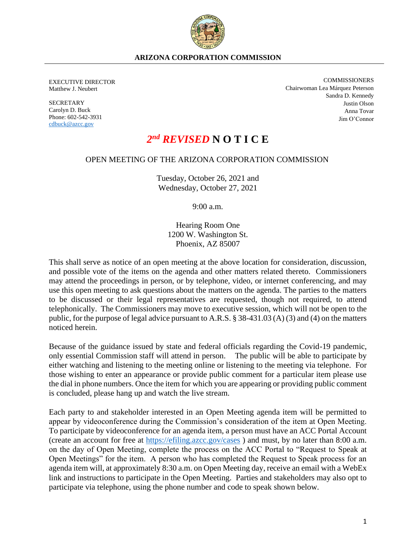

EXECUTIVE DIRECTOR Matthew J. Neubert

**SECRETARY** Carolyn D. Buck Phone: 602-542-3931 [cdbuck@azcc.gov](mailto:cdbuck@azcc.gov)

**COMMISSIONERS** Chairwoman Lea Márquez Peterson Sandra D. Kennedy Justin Olson Anna Tovar Jim O'Connor

# *2 nd REVISED* **N O T I C E**

#### OPEN MEETING OF THE ARIZONA CORPORATION COMMISSION

Tuesday, October 26, 2021 and Wednesday, October 27, 2021

9:00 a.m.

Hearing Room One 1200 W. Washington St. Phoenix, AZ 85007

This shall serve as notice of an open meeting at the above location for consideration, discussion, and possible vote of the items on the agenda and other matters related thereto. Commissioners may attend the proceedings in person, or by telephone, video, or internet conferencing, and may use this open meeting to ask questions about the matters on the agenda. The parties to the matters to be discussed or their legal representatives are requested, though not required, to attend telephonically. The Commissioners may move to executive session, which will not be open to the public, for the purpose of legal advice pursuant to A.R.S. § 38-431.03 (A) (3) and (4) on the matters noticed herein.

Because of the guidance issued by state and federal officials regarding the Covid-19 pandemic, only essential Commission staff will attend in person. The public will be able to participate by either watching and listening to the meeting online or listening to the meeting via telephone. For those wishing to enter an appearance or provide public comment for a particular item please use the dial in phone numbers. Once the item for which you are appearing or providing public comment is concluded, please hang up and watch the live stream.

Each party to and stakeholder interested in an Open Meeting agenda item will be permitted to appear by videoconference during the Commission's consideration of the item at Open Meeting. To participate by videoconference for an agenda item, a person must have an ACC Portal Account (create an account for free at<https://efiling.azcc.gov/cases> ) and must, by no later than 8:00 a.m. on the day of Open Meeting, complete the process on the ACC Portal to "Request to Speak at Open Meetings" for the item. A person who has completed the Request to Speak process for an agenda item will, at approximately 8:30 a.m. on Open Meeting day, receive an email with a WebEx link and instructions to participate in the Open Meeting. Parties and stakeholders may also opt to participate via telephone, using the phone number and code to speak shown below.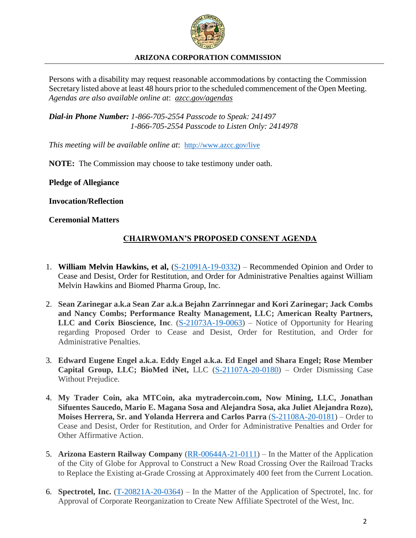

Persons with a disability may request reasonable accommodations by contacting the Commission Secretary listed above at least 48 hours prior to the scheduled commencement of the Open Meeting. *Agendas are also available online at*: *[azcc.gov/agendas](http://azcc.gov/agendas)*

*Dial-in Phone Number: 1-866-705-2554 Passcode to Speak: 241497 1-866-705-2554 Passcode to Listen Only: 2414978*

*This meeting will be available online at*: <http://www.azcc.gov/live>

**NOTE:** The Commission may choose to take testimony under oath.

**Pledge of Allegiance**

**Invocation/Reflection**

**Ceremonial Matters**

## **CHAIRWOMAN'S PROPOSED CONSENT AGENDA**

- 1. **William Melvin Hawkins, et al,** [\(S-21091A-19-0332\)](https://edocket.azcc.gov/search/docket-search/item-detail/23973) Recommended Opinion and Order to Cease and Desist, Order for Restitution, and Order for Administrative Penalties against William Melvin Hawkins and Biomed Pharma Group, Inc.
- 2. **Sean Zarinegar a.k.a Sean Zar a.k.a Bejahn Zarrinnegar and Kori Zarinegar; Jack Combs and Nancy Combs; Performance Realty Management, LLC; American Realty Partners, LLC and Corix Bioscience, Inc**. [\(S-21073A-19-0063\)](https://edocket.azcc.gov/search/docket-search/item-detail/22386) – Notice of Opportunity for Hearing regarding Proposed Order to Cease and Desist, Order for Restitution, and Order for Administrative Penalties.
- 3. **Edward Eugene Engel a.k.a. Eddy Engel a.k.a. Ed Engel and Shara Engel; Rose Member Capital Group, LLC; BioMed iNet,** LLC [\(S-21107A-20-0180\)](https://edocket.azcc.gov/search/docket-search/item-detail/25366) – Order Dismissing Case Without Prejudice.
- 4. **My Trader Coin, aka MTCoin, aka mytradercoin.com, Now Mining, LLC, Jonathan Sifuentes Saucedo, Mario E. Magana Sosa and Alejandra Sosa, aka Juliet Alejandra Rozo), Moises Herrera, Sr. and Yolanda Herrera and Carlos Parra** [\(S-21108A-20-0181\)](https://edocket.azcc.gov/search/docket-search/item-detail/25367) – Order to Cease and Desist, Order for Restitution, and Order for Administrative Penalties and Order for Other Affirmative Action.
- 5. **Arizona Eastern Railway Company** [\(RR-00644A-21-0111\)](https://edocket.azcc.gov/search/docket-search/item-detail/25780) In the Matter of the Application of the City of Globe for Approval to Construct a New Road Crossing Over the Railroad Tracks to Replace the Existing at-Grade Crossing at Approximately 400 feet from the Current Location.
- 6. **Spectrotel, Inc.** [\(T-20821A-20-0364\)](https://edocket.azcc.gov/search/docket-search/item-detail/25582) In the Matter of the Application of Spectrotel, Inc. for Approval of Corporate Reorganization to Create New Affiliate Spectrotel of the West, Inc.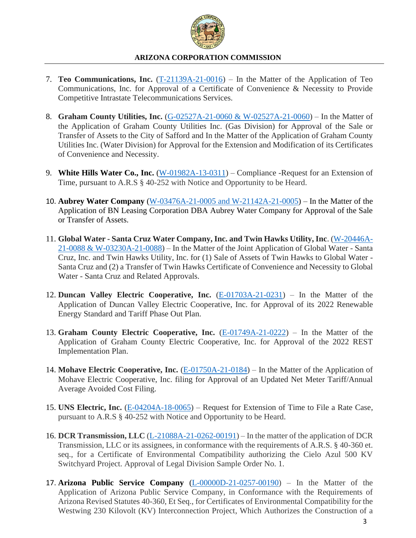

- 7. **Teo Communications, Inc.** [\(T-21139A-21-0016\)](https://edocket.azcc.gov/search/docket-search/item-detail/25631) In the Matter of the Application of Teo Communications, Inc. for Approval of a Certificate of Convenience & Necessity to Provide Competitive Intrastate Telecommunications Services.
- 8. **Graham County Utilities, Inc.** [\(G-02527A-21-0060 & W-02527A-21-0060\)](https://edocket.azcc.gov/search/docket-search/item-detail/25692) In the Matter of the Application of Graham County Utilities Inc. (Gas Division) for Approval of the Sale or Transfer of Assets to the City of Safford and In the Matter of the Application of Graham County Utilities Inc. (Water Division) for Approval for the Extension and Modification of its Certificates of Convenience and Necessity.
- 9. **White Hills Water Co., Inc.** [\(W-01982A-13-0311\)](https://edocket.azcc.gov/search/docket-search/item-detail/18105) Compliance -Request for an Extension of Time, pursuant to A.R.S § 40-252 with Notice and Opportunity to be Heard.
- 10. **Aubrey Water Company** [\(W-03476A-21-0005 and W-21142A-21-0005\)](https://edocket.azcc.gov/search/docket-search/item-detail/25620) In the Matter of the Application of BN Leasing Corporation DBA Aubrey Water Company for Approval of the Sale or Transfer of Assets.
- 11. **Global Water - Santa Cruz Water Company, Inc. and Twin Hawks Utility, Inc**. [\(W-20446A-](https://edocket.azcc.gov/search/docket-search/item-detail/25735)[21-0088 & W-03230A-21-0088\)](https://edocket.azcc.gov/search/docket-search/item-detail/25735) – In the Matter of the Joint Application of Global Water - Santa Cruz, Inc. and Twin Hawks Utility, Inc. for (1) Sale of Assets of Twin Hawks to Global Water - Santa Cruz and (2) a Transfer of Twin Hawks Certificate of Convenience and Necessity to Global Water - Santa Cruz and Related Approvals.
- 12. **Duncan Valley Electric Cooperative, Inc.** [\(E-01703A-21-0231\)](https://edocket.azcc.gov/search/docket-search/item-detail/25961) In the Matter of the Application of Duncan Valley Electric Cooperative, Inc. for Approval of its 2022 Renewable Energy Standard and Tariff Phase Out Plan.
- 13. **Graham County Electric Cooperative, Inc.** [\(E-01749A-21-0222\)](https://edocket.azcc.gov/search/docket-search/item-detail/25946) In the Matter of the Application of Graham County Electric Cooperative, Inc. for Approval of the 2022 REST Implementation Plan.
- 14. **Mohave Electric Cooperative, Inc.** [\(E-01750A-21-0184\)](https://edocket.azcc.gov/search/docket-search/item-detail/25890) In the Matter of the Application of Mohave Electric Cooperative, Inc. filing for Approval of an Updated Net Meter Tariff/Annual Average Avoided Cost Filing.
- 15. **UNS Electric, Inc.** [\(E-04204A-18-0065\)](https://edocket.azcc.gov/search/docket-search/item-detail/20395) Request for Extension of Time to File a Rate Case, pursuant to A.R.S § 40-252 with Notice and Opportunity to be Heard.
- 16. **DCR Transmission, LLC** [\(L-21088A-21-0262-00191\)](https://edocket.azcc.gov/search/docket-search/item-detail/26005) In the matter of the application of DCR Transmission, LLC or its assignees, in conformance with the requirements of A.R.S. § 40-360 et. seq., for a Certificate of Environmental Compatibility authorizing the Cielo Azul 500 KV Switchyard Project. Approval of Legal Division Sample Order No. 1.
- 17. **Arizona Public Service Company** [\(L-00000D-21-0257-00190\)](https://edocket.azcc.gov/search/docket-search/item-detail/25999) In the Matter of the Application of Arizona Public Service Company, in Conformance with the Requirements of Arizona Revised Statutes 40-360, Et Seq., for Certificates of Environmental Compatibility for the Westwing 230 Kilovolt (KV) Interconnection Project, Which Authorizes the Construction of a